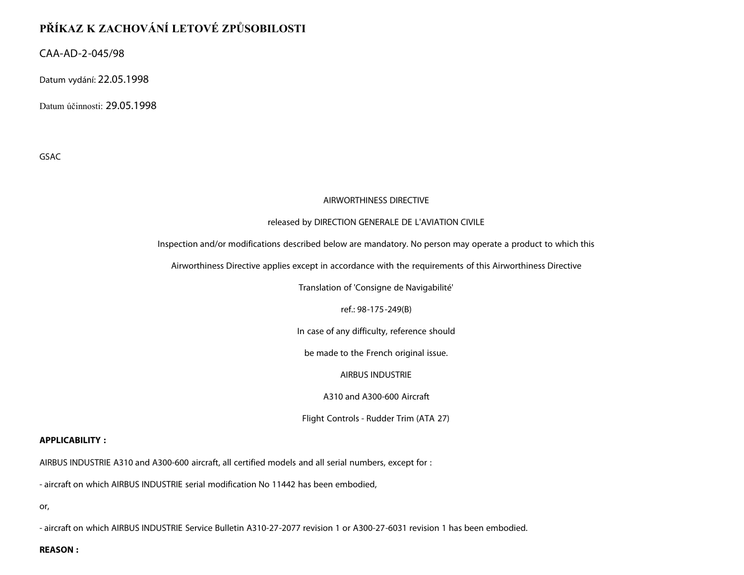# **PŘÍKAZ K ZACHOVÁNÍ LETOVÉ ZPŮSOBILOSTI**

CAA-AD-2-045/98

Datum vydání: 22.05.1998

Datum účinnosti: 29.05.1998

GSAC

### AIRWORTHINESS DIRECTIVE

### released by DIRECTION GENERALE DE L'AVIATION CIVILE

Inspection and/or modifications described below are mandatory. No person may operate a product to which this

Airworthiness Directive applies except in accordance with the requirements of this Airworthiness Directive

Translation of 'Consigne de Navigabilité'

ref.: 98-175-249(B)

In case of any difficulty, reference should

be made to the French original issue.

AIRBUS INDUSTRIE

A310 and A300-600 Aircraft

Flight Controls - Rudder Trim (ATA 27)

#### **APPLICABILITY :**

AIRBUS INDUSTRIE A310 and A300-600 aircraft, all certified models and all serial numbers, except for :

- aircraft on which AIRBUS INDUSTRIE serial modification No 11442 has been embodied,

or,

- aircraft on which AIRBUS INDUSTRIE Service Bulletin A310-27-2077 revision 1 or A300-27-6031 revision 1 has been embodied.

**REASON :**